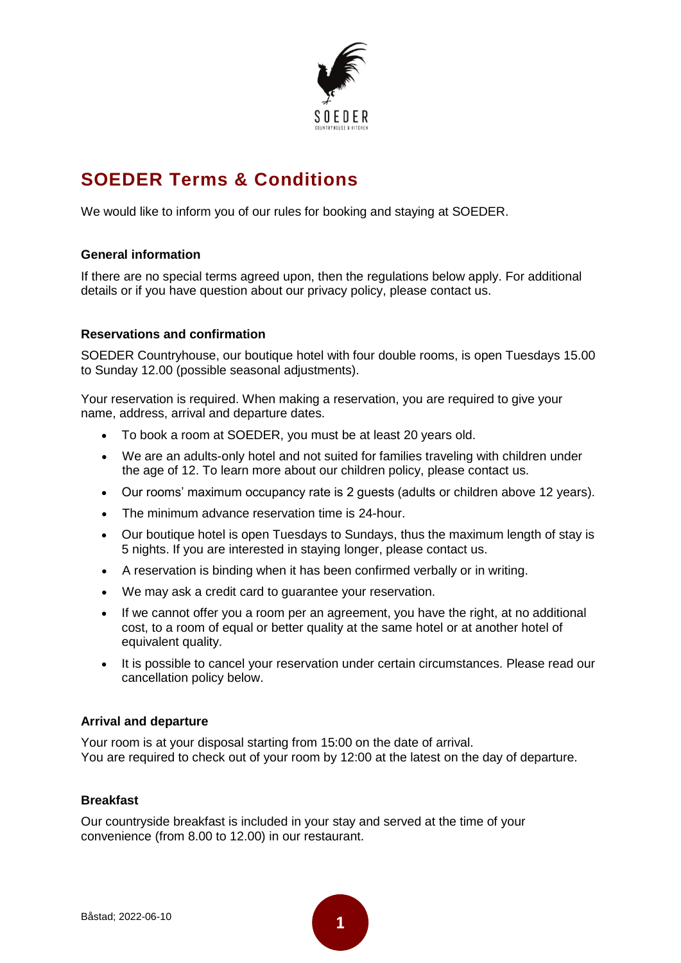

# **SOEDER Terms & Conditions**

We would like to inform you of our rules for booking and staying at SOEDER.

## **General information**

If there are no special terms agreed upon, then the regulations below apply. For additional details or if you have question about our privacy policy, please contact us.

## **Reservations and confirmation**

SOEDER Countryhouse, our boutique hotel with four double rooms, is open Tuesdays 15.00 to Sunday 12.00 (possible seasonal adjustments).

Your reservation is required. When making a reservation, you are required to give your name, address, arrival and departure dates.

- To book a room at SOEDER, you must be at least 20 years old.
- We are an adults-only hotel and not suited for families traveling with children under the age of 12. To learn more about our children policy, please contact us.
- Our rooms' maximum occupancy rate is 2 guests (adults or children above 12 years).
- The minimum advance reservation time is 24-hour.
- Our boutique hotel is open Tuesdays to Sundays, thus the maximum length of stay is 5 nights. If you are interested in staying longer, please contact us.
- A reservation is binding when it has been confirmed verbally or in writing.
- We may ask a credit card to guarantee your reservation.
- If we cannot offer you a room per an agreement, you have the right, at no additional cost, to a room of equal or better quality at the same hotel or at another hotel of equivalent quality.
- It is possible to cancel your reservation under certain circumstances. Please read our cancellation policy below.

## **Arrival and departure**

Your room is at your disposal starting from 15:00 on the date of arrival. You are required to check out of your room by 12:00 at the latest on the day of departure.

#### **Breakfast**

Our countryside breakfast is included in your stay and served at the time of your convenience (from 8.00 to 12.00) in our restaurant.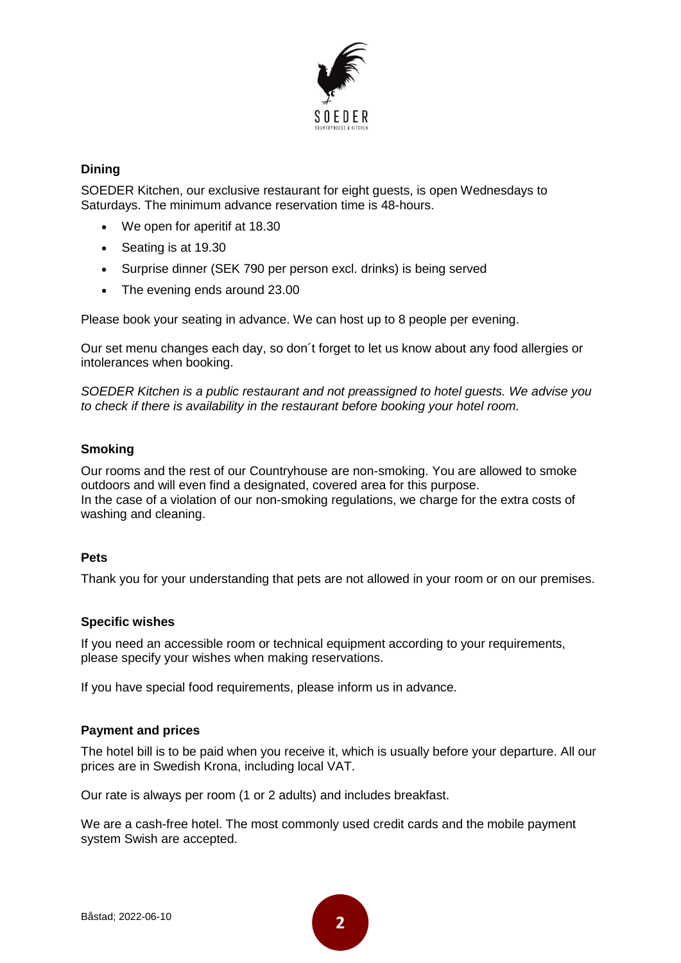

# **Dining**

SOEDER Kitchen, our exclusive restaurant for eight guests, is open Wednesdays to Saturdays. The minimum advance reservation time is 48-hours.

- We open for aperitif at 18.30
- Seating is at 19.30
- Surprise dinner (SEK 790 per person excl. drinks) is being served
- The evening ends around 23.00

Please book your seating in advance. We can host up to 8 people per evening.

Our set menu changes each day, so don´t forget to let us know about any food allergies or intolerances when booking.

*SOEDER Kitchen is a public restaurant and not preassigned to hotel guests. We advise you to check if there is availability in the restaurant before booking your hotel room.*

# **Smoking**

Our rooms and the rest of our Countryhouse are non-smoking. You are allowed to smoke outdoors and will even find a designated, covered area for this purpose. In the case of a violation of our non-smoking regulations, we charge for the extra costs of washing and cleaning.

## **Pets**

Thank you for your understanding that pets are not allowed in your room or on our premises.

## **Specific wishes**

If you need an accessible room or technical equipment according to your requirements, please specify your wishes when making reservations.

If you have special food requirements, please inform us in advance.

## **Payment and prices**

The hotel bill is to be paid when you receive it, which is usually before your departure. All our prices are in Swedish Krona, including local VAT.

Our rate is always per room (1 or 2 adults) and includes breakfast.

We are a cash-free hotel. The most commonly used credit cards and the mobile payment system Swish are accepted.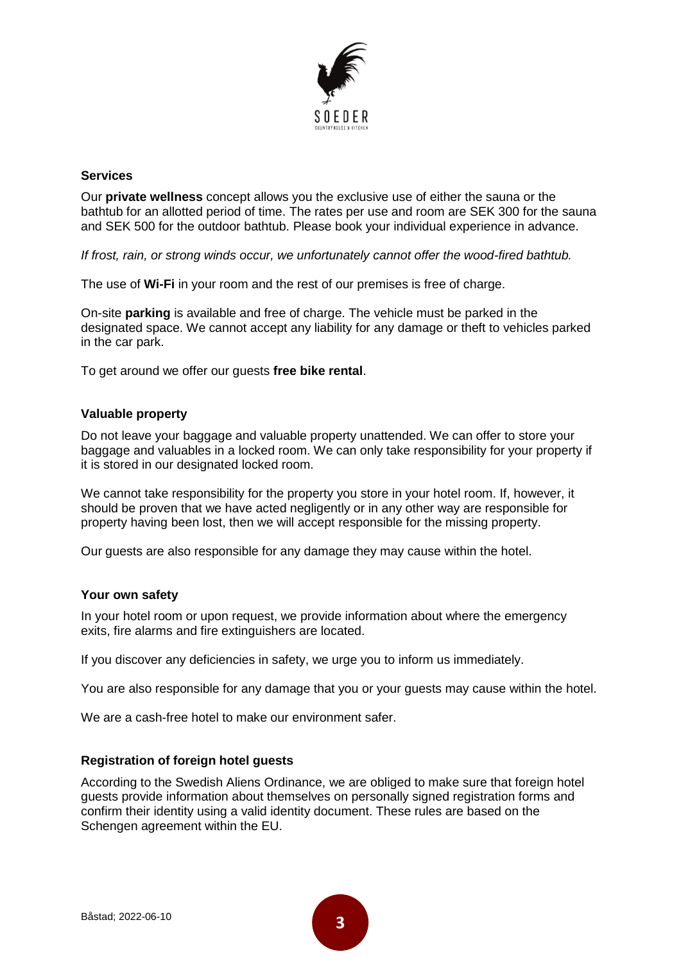

#### **Services**

Our **private wellness** concept allows you the exclusive use of either the sauna or the bathtub for an allotted period of time. The rates per use and room are SEK 300 for the sauna and SEK 500 for the outdoor bathtub. Please book your individual experience in advance.

*If frost, rain, or strong winds occur, we unfortunately cannot offer the wood-fired bathtub.*

The use of **Wi-Fi** in your room and the rest of our premises is free of charge.

On-site **parking** is available and free of charge. The vehicle must be parked in the designated space. We cannot accept any liability for any damage or theft to vehicles parked in the car park.

To get around we offer our guests **free bike rental**.

#### **Valuable property**

Do not leave your baggage and valuable property unattended. We can offer to store your baggage and valuables in a locked room. We can only take responsibility for your property if it is stored in our designated locked room.

We cannot take responsibility for the property you store in your hotel room. If, however, it should be proven that we have acted negligently or in any other way are responsible for property having been lost, then we will accept responsible for the missing property.

Our guests are also responsible for any damage they may cause within the hotel.

#### **Your own safety**

In your hotel room or upon request, we provide information about where the emergency exits, fire alarms and fire extinguishers are located.

If you discover any deficiencies in safety, we urge you to inform us immediately.

You are also responsible for any damage that you or your guests may cause within the hotel.

We are a cash-free hotel to make our environment safer.

#### **Registration of foreign hotel guests**

According to the Swedish Aliens Ordinance, we are obliged to make sure that foreign hotel guests provide information about themselves on personally signed registration forms and confirm their identity using a valid identity document. These rules are based on the Schengen agreement within the EU.